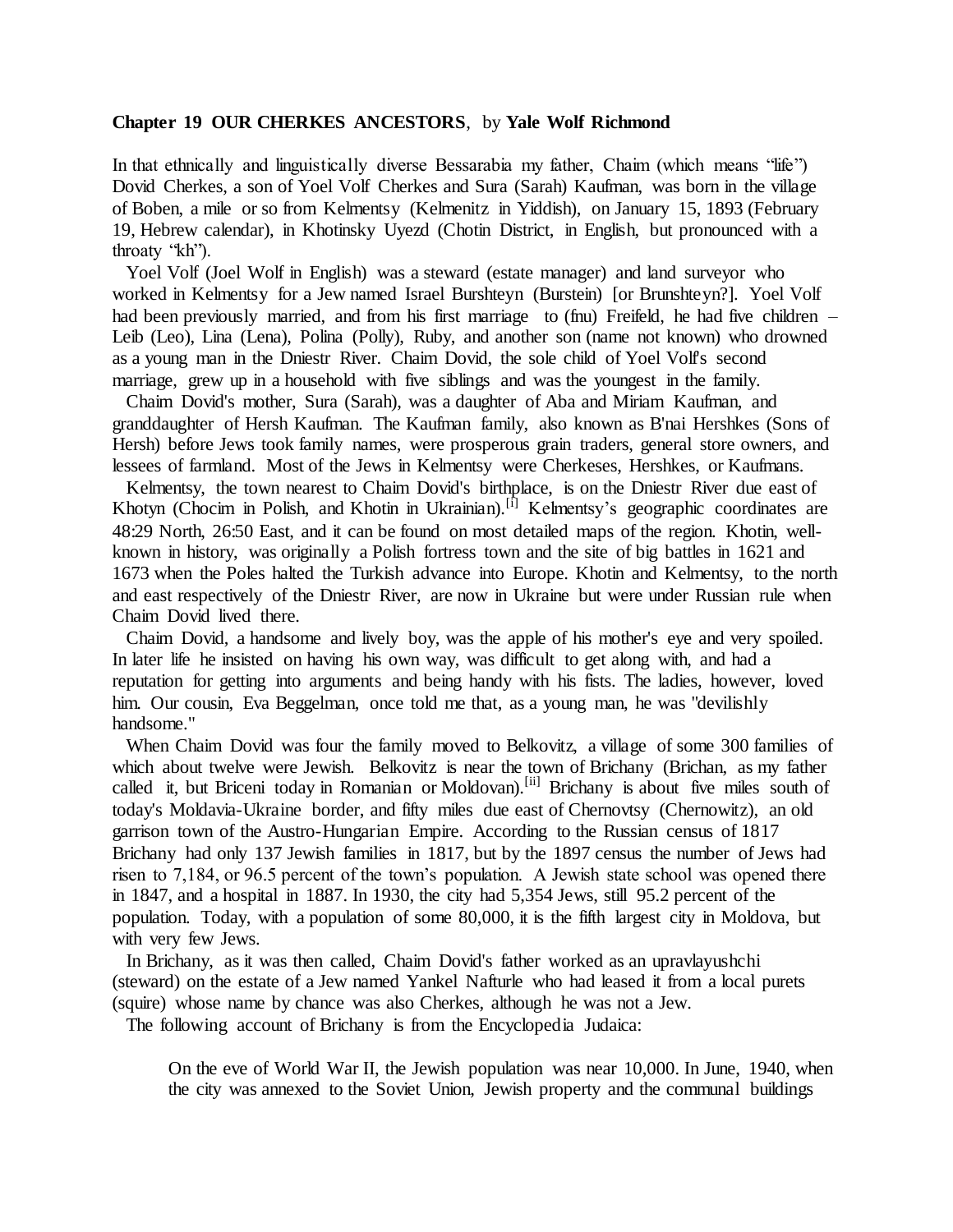## **Chapter 19 OUR CHERKES ANCESTORS**, by **Yale Wolf Richmond**

In that ethnically and linguistically diverse Bessarabia my father, Chaim (which means "life") Dovid Cherkes, a son of Yoel Volf Cherkes and Sura (Sarah) Kaufman, was born in the village of Boben, a mile or so from Kelmentsy (Kelmenitz in Yiddish), on January 15, 1893 (February 19, Hebrew calendar), in Khotinsky Uyezd (Chotin District, in English, but pronounced with a throaty "kh").

 Yoel Volf (Joel Wolf in English) was a steward (estate manager) and land surveyor who worked in Kelmentsy for a Jew named Israel Burshteyn (Burstein) [or Brunshteyn?]. Yoel Volf had been previously married, and from his first marriage to (finu) Freifeld, he had five children – Leib (Leo), Lina (Lena), Polina (Polly), Ruby, and another son (name not known) who drowned as a young man in the Dniestr River. Chaim Dovid, the sole child of Yoel Volf's second marriage, grew up in a household with five siblings and was the youngest in the family.

 Chaim Dovid's mother, Sura (Sarah), was a daughter of Aba and Miriam Kaufman, and granddaughter of Hersh Kaufman. The Kaufman family, also known as B'nai Hershkes (Sons of Hersh) before Jews took family names, were prosperous grain traders, general store owners, and lessees of farmland. Most of the Jews in Kelmentsy were Cherkeses, Hershkes, or Kaufmans.

 Kelmentsy, the town nearest to Chaim Dovid's birthplace, is on the Dniestr River due east of Khotyn (Chocim in Polish, and Khotin in Ukrainian).<sup>[i]</sup> Kelmentsy's geographic coordinates are 48:29 North, 26:50 East, and it can be found on most detailed maps of the region. Khotin, wellknown in history, was originally a Polish fortress town and the site of big battles in 1621 and 1673 when the Poles halted the Turkish advance into Europe. Khotin and Kelmentsy, to the north and east respectively of the Dniestr River, are now in Ukraine but were under Russian rule when Chaim Dovid lived there.

 Chaim Dovid, a handsome and lively boy, was the apple of his mother's eye and very spoiled. In later life he insisted on having his own way, was difficult to get along with, and had a reputation for getting into arguments and being handy with his fists. The ladies, however, loved him. Our cousin, Eva Beggelman, once told me that, as a young man, he was "devilishly handsome."

 When Chaim Dovid was four the family moved to Belkovitz, a village of some 300 families of which about twelve were Jewish. Belkovitz is near the town of Brichany (Brichan, as my father called it, but Briceni today in Romanian or Moldovan).<sup>[ii]</sup> Brichany is about five miles south of today's Moldavia-Ukraine border, and fifty miles due east of Chernovtsy (Chernowitz), an old garrison town of the Austro-Hungarian Empire. According to the Russian census of 1817 Brichany had only 137 Jewish families in 1817, but by the 1897 census the number of Jews had risen to 7,184, or 96.5 percent of the town's population. A Jewish state school was opened there in 1847, and a hospital in 1887. In 1930, the city had 5,354 Jews, still 95.2 percent of the population. Today, with a population of some 80,000, it is the fifth largest city in Moldova, but with very few Jews.

 In Brichany, as it was then called, Chaim Dovid's father worked as an upravlayushchi (steward) on the estate of a Jew named Yankel Nafturle who had leased it from a local purets (squire) whose name by chance was also Cherkes, although he was not a Jew.

The following account of Brichany is from the Encyclopedia Judaica:

On the eve of World War II, the Jewish population was near 10,000. In June, 1940, when the city was annexed to the Soviet Union, Jewish property and the communal buildings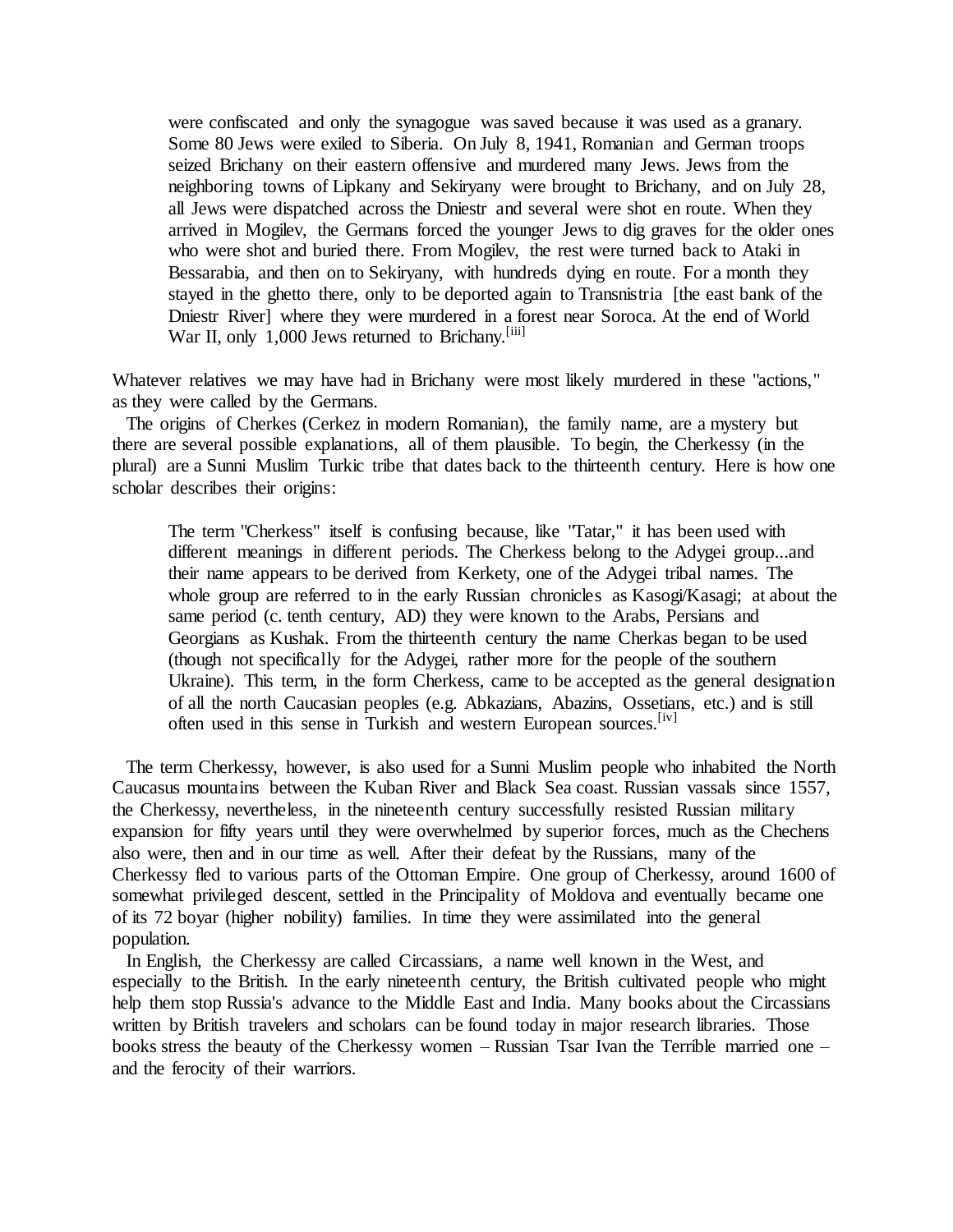were confiscated and only the synagogue was saved because it was used as a granary. Some 80 Jews were exiled to Siberia. On July 8, 1941, Romanian and German troops seized Brichany on their eastern offensive and murdered many Jews. Jews from the neighboring towns of Lipkany and Sekiryany were brought to Brichany, and on July 28, all Jews were dispatched across the Dniestr and several were shot en route. When they arrived in Mogilev, the Germans forced the younger Jews to dig graves for the older ones who were shot and buried there. From Mogilev, the rest were turned back to Ataki in Bessarabia, and then on to Sekiryany, with hundreds dying en route. For a month they stayed in the ghetto there, only to be deported again to Transnistria [the east bank of the Dniestr River] where they were murdered in a forest near Soroca. At the end of World War II, only 1,000 Jews returned to Brichany.<sup>[iii]</sup>

Whatever relatives we may have had in Brichany were most likely murdered in these "actions," as they were called by the Germans.

 The origins of Cherkes (Cerkez in modern Romanian), the family name, are a mystery but there are several possible explanations, all of them plausible. To begin, the Cherkessy (in the plural) are a Sunni Muslim Turkic tribe that dates back to the thirteenth century. Here is how one scholar describes their origins:

The term "Cherkess" itself is confusing because, like "Tatar," it has been used with different meanings in different periods. The Cherkess belong to the Adygei group...and their name appears to be derived from Kerkety, one of the Adygei tribal names. The whole group are referred to in the early Russian chronicles as Kasogi/Kasagi; at about the same period (c. tenth century, AD) they were known to the Arabs, Persians and Georgians as Kushak. From the thirteenth century the name Cherkas began to be used (though not specifically for the Adygei, rather more for the people of the southern Ukraine). This term, in the form Cherkess, came to be accepted as the general designation of all the north Caucasian peoples (e.g. Abkazians, Abazins, Ossetians, etc.) and is still often used in this sense in Turkish and western European sources.<sup>[iv]</sup>

 The term Cherkessy, however, is also used for a Sunni Muslim people who inhabited the North Caucasus mountains between the Kuban River and Black Sea coast. Russian vassals since 1557, the Cherkessy, nevertheless, in the nineteenth century successfully resisted Russian military expansion for fifty years until they were overwhelmed by superior forces, much as the Chechens also were, then and in our time as well. After their defeat by the Russians, many of the Cherkessy fled to various parts of the Ottoman Empire. One group of Cherkessy, around 1600 of somewhat privileged descent, settled in the Principality of Moldova and eventually became one of its 72 boyar (higher nobility) families. In time they were assimilated into the general population.

 In English, the Cherkessy are called Circassians, a name well known in the West, and especially to the British. In the early nineteenth century, the British cultivated people who might help them stop Russia's advance to the Middle East and India. Many books about the Circassians written by British travelers and scholars can be found today in major research libraries. Those books stress the beauty of the Cherkessy women – Russian Tsar Ivan the Terrible married one – and the ferocity of their warriors.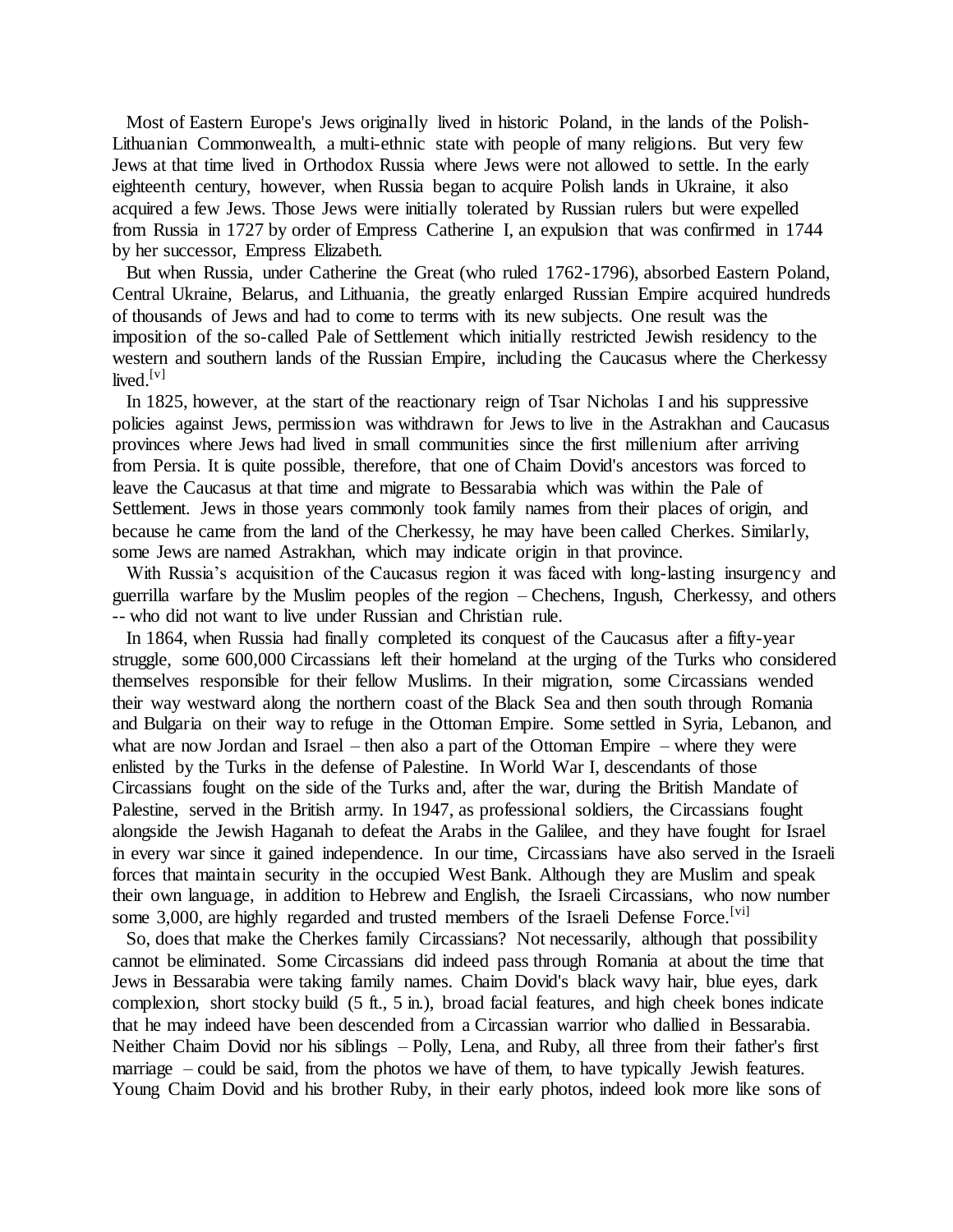Most of Eastern Europe's Jews originally lived in historic Poland, in the lands of the Polish-Lithuanian Commonwealth, a multi-ethnic state with people of many religions. But very few Jews at that time lived in Orthodox Russia where Jews were not allowed to settle. In the early eighteenth century, however, when Russia began to acquire Polish lands in Ukraine, it also acquired a few Jews. Those Jews were initially tolerated by Russian rulers but were expelled from Russia in 1727 by order of Empress Catherine I, an expulsion that was confirmed in 1744 by her successor, Empress Elizabeth.

 But when Russia, under Catherine the Great (who ruled 1762-1796), absorbed Eastern Poland, Central Ukraine, Belarus, and Lithuania, the greatly enlarged Russian Empire acquired hundreds of thousands of Jews and had to come to terms with its new subjects. One result was the imposition of the so-called Pale of Settlement which initially restricted Jewish residency to the western and southern lands of the Russian Empire, including the Caucasus where the Cherkessy lived. $[v]$ 

 In 1825, however, at the start of the reactionary reign of Tsar Nicholas I and his suppressive policies against Jews, permission was withdrawn for Jews to live in the Astrakhan and Caucasus provinces where Jews had lived in small communities since the first millenium after arriving from Persia. It is quite possible, therefore, that one of Chaim Dovid's ancestors was forced to leave the Caucasus at that time and migrate to Bessarabia which was within the Pale of Settlement. Jews in those years commonly took family names from their places of origin, and because he came from the land of the Cherkessy, he may have been called Cherkes. Similarly, some Jews are named Astrakhan, which may indicate origin in that province.

 With Russia's acquisition of the Caucasus region it was faced with long-lasting insurgency and guerrilla warfare by the Muslim peoples of the region – Chechens, Ingush, Cherkessy, and others -- who did not want to live under Russian and Christian rule.

 In 1864, when Russia had finally completed its conquest of the Caucasus after a fifty-year struggle, some 600,000 Circassians left their homeland at the urging of the Turks who considered themselves responsible for their fellow Muslims. In their migration, some Circassians wended their way westward along the northern coast of the Black Sea and then south through Romania and Bulgaria on their way to refuge in the Ottoman Empire. Some settled in Syria, Lebanon, and what are now Jordan and Israel – then also a part of the Ottoman Empire – where they were enlisted by the Turks in the defense of Palestine. In World War I, descendants of those Circassians fought on the side of the Turks and, after the war, during the British Mandate of Palestine, served in the British army. In 1947, as professional soldiers, the Circassians fought alongside the Jewish Haganah to defeat the Arabs in the Galilee, and they have fought for Israel in every war since it gained independence. In our time, Circassians have also served in the Israeli forces that maintain security in the occupied West Bank. Although they are Muslim and speak their own language, in addition to Hebrew and English, the Israeli Circassians, who now number some 3,000, are highly regarded and trusted members of the Israeli Defense Force.<sup>[vi]</sup>

 So, does that make the Cherkes family Circassians? Not necessarily, although that possibility cannot be eliminated. Some Circassians did indeed pass through Romania at about the time that Jews in Bessarabia were taking family names. Chaim Dovid's black wavy hair, blue eyes, dark complexion, short stocky build (5 ft., 5 in.), broad facial features, and high cheek bones indicate that he may indeed have been descended from a Circassian warrior who dallied in Bessarabia. Neither Chaim Dovid nor his siblings – Polly, Lena, and Ruby, all three from their father's first marriage – could be said, from the photos we have of them, to have typically Jewish features. Young Chaim Dovid and his brother Ruby, in their early photos, indeed look more like sons of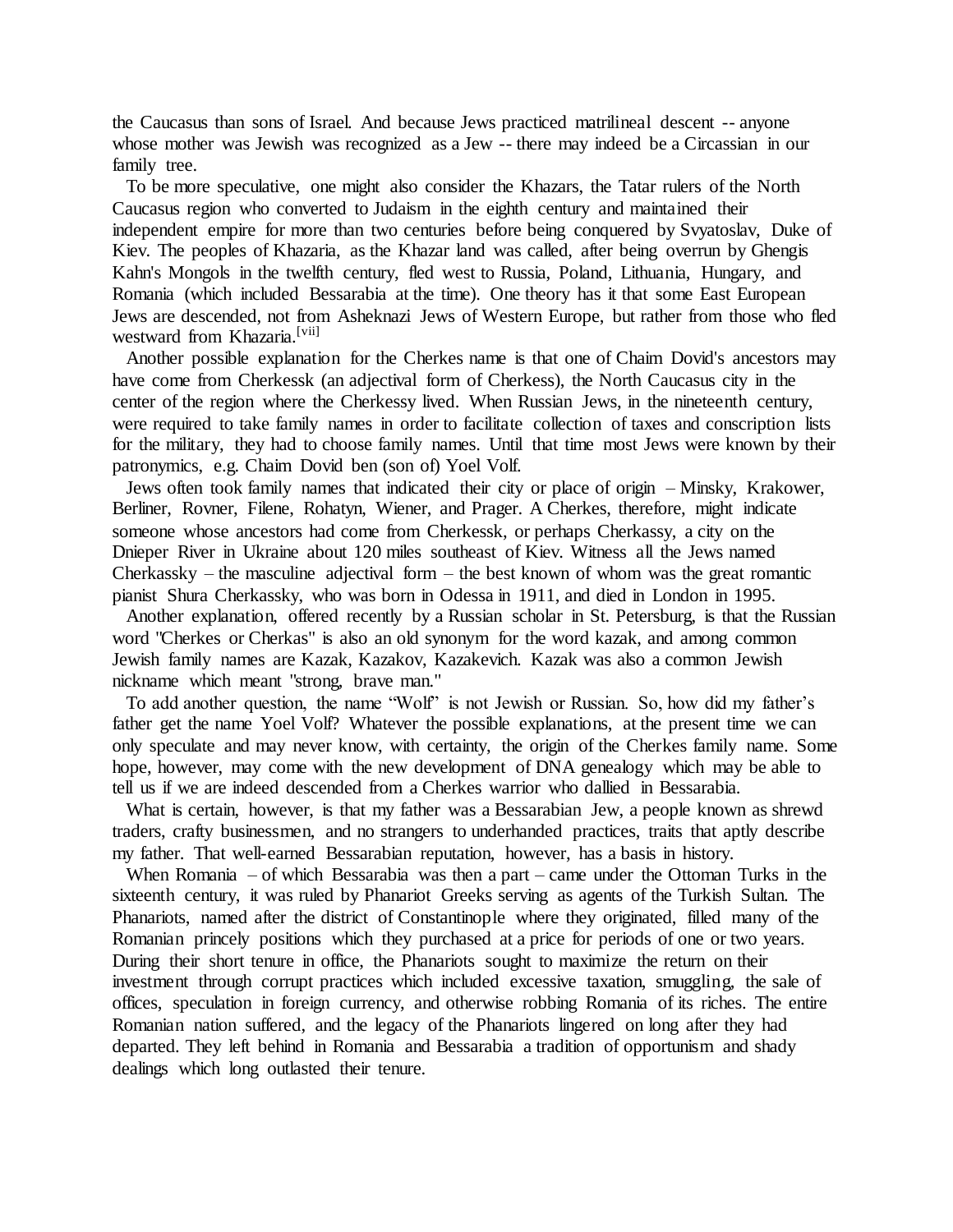the Caucasus than sons of Israel. And because Jews practiced matrilineal descent -- anyone whose mother was Jewish was recognized as a Jew -- there may indeed be a Circassian in our family tree.

 To be more speculative, one might also consider the Khazars, the Tatar rulers of the North Caucasus region who converted to Judaism in the eighth century and maintained their independent empire for more than two centuries before being conquered by Svyatoslav, Duke of Kiev. The peoples of Khazaria, as the Khazar land was called, after being overrun by Ghengis Kahn's Mongols in the twelfth century, fled west to Russia, Poland, Lithuania, Hungary, and Romania (which included Bessarabia at the time). One theory has it that some East European Jews are descended, not from Asheknazi Jews of Western Europe, but rather from those who fled westward from Khazaria.<sup>[vii]</sup>

 Another possible explanation for the Cherkes name is that one of Chaim Dovid's ancestors may have come from Cherkessk (an adjectival form of Cherkess), the North Caucasus city in the center of the region where the Cherkessy lived. When Russian Jews, in the nineteenth century, were required to take family names in order to facilitate collection of taxes and conscription lists for the military, they had to choose family names. Until that time most Jews were known by their patronymics, e.g. Chaim Dovid ben (son of) Yoel Volf.

 Jews often took family names that indicated their city or place of origin – Minsky, Krakower, Berliner, Rovner, Filene, Rohatyn, Wiener, and Prager. A Cherkes, therefore, might indicate someone whose ancestors had come from Cherkessk, or perhaps Cherkassy, a city on the Dnieper River in Ukraine about 120 miles southeast of Kiev. Witness all the Jews named Cherkassky – the masculine adjectival form – the best known of whom was the great romantic pianist Shura Cherkassky, who was born in Odessa in 1911, and died in London in 1995.

 Another explanation, offered recently by a Russian scholar in St. Petersburg, is that the Russian word "Cherkes or Cherkas" is also an old synonym for the word kazak, and among common Jewish family names are Kazak, Kazakov, Kazakevich. Kazak was also a common Jewish nickname which meant "strong, brave man."

 To add another question, the name "Wolf" is not Jewish or Russian. So, how did my father's father get the name Yoel Volf? Whatever the possible explanations, at the present time we can only speculate and may never know, with certainty, the origin of the Cherkes family name. Some hope, however, may come with the new development of DNA genealogy which may be able to tell us if we are indeed descended from a Cherkes warrior who dallied in Bessarabia.

What is certain, however, is that my father was a Bessarabian Jew, a people known as shrewd traders, crafty businessmen, and no strangers to underhanded practices, traits that aptly describe my father. That well-earned Bessarabian reputation, however, has a basis in history.

 When Romania – of which Bessarabia was then a part – came under the Ottoman Turks in the sixteenth century, it was ruled by Phanariot Greeks serving as agents of the Turkish Sultan. The Phanariots, named after the district of Constantinople where they originated, filled many of the Romanian princely positions which they purchased at a price for periods of one or two years. During their short tenure in office, the Phanariots sought to maximize the return on their investment through corrupt practices which included excessive taxation, smuggling, the sale of offices, speculation in foreign currency, and otherwise robbing Romania of its riches. The entire Romanian nation suffered, and the legacy of the Phanariots lingered on long after they had departed. They left behind in Romania and Bessarabia a tradition of opportunism and shady dealings which long outlasted their tenure.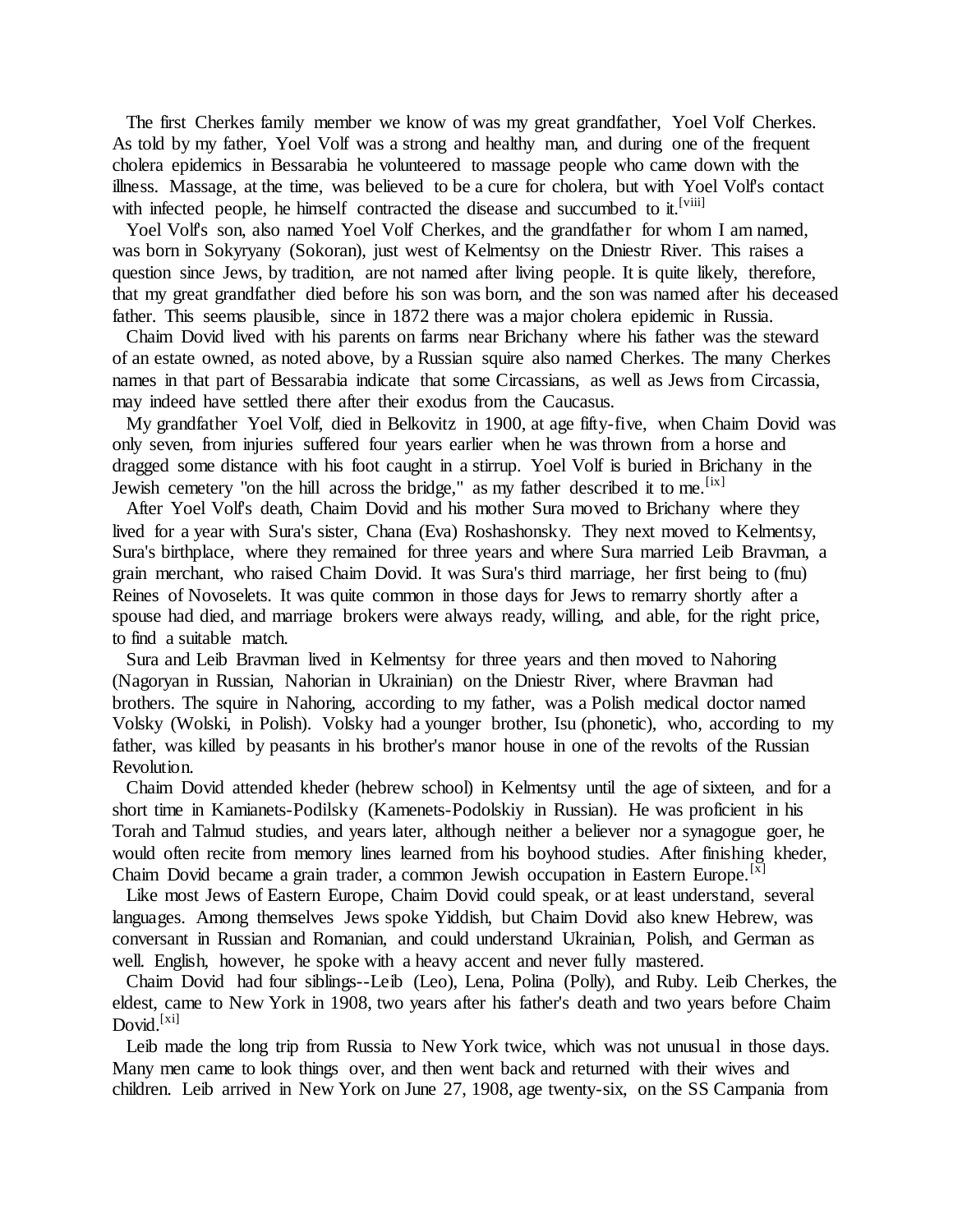The first Cherkes family member we know of was my great grandfather, Yoel Volf Cherkes. As told by my father, Yoel Volf was a strong and healthy man, and during one of the frequent cholera epidemics in Bessarabia he volunteered to massage people who came down with the illness. Massage, at the time, was believed to be a cure for cholera, but with Yoel Volf's contact with infected people, he himself contracted the disease and succumbed to it.<sup>[viii]</sup>

Yoel Volf's son, also named Yoel Volf Cherkes, and the grandfather for whom I am named, was born in Sokyryany (Sokoran), just west of Kelmentsy on the Dniestr River. This raises a question since Jews, by tradition, are not named after living people. It is quite likely, therefore, that my great grandfather died before his son was born, and the son was named after his deceased father. This seems plausible, since in 1872 there was a major cholera epidemic in Russia.

 Chaim Dovid lived with his parents on farms near Brichany where his father was the steward of an estate owned, as noted above, by a Russian squire also named Cherkes. The many Cherkes names in that part of Bessarabia indicate that some Circassians, as well as Jews from Circassia, may indeed have settled there after their exodus from the Caucasus.

 My grandfather Yoel Volf, died in Belkovitz in 1900, at age fifty-five, when Chaim Dovid was only seven, from injuries suffered four years earlier when he was thrown from a horse and dragged some distance with his foot caught in a stirrup. Yoel Volf is buried in Brichany in the Jewish cemetery "on the hill across the bridge," as my father described it to me.<sup>[ix]</sup>

 After Yoel Volf's death, Chaim Dovid and his mother Sura moved to Brichany where they lived for a year with Sura's sister, Chana (Eva) Roshashonsky. They next moved to Kelmentsy, Sura's birthplace, where they remained for three years and where Sura married Leib Bravman, a grain merchant, who raised Chaim Dovid. It was Sura's third marriage, her first being to (fnu) Reines of Novoselets. It was quite common in those days for Jews to remarry shortly after a spouse had died, and marriage brokers were always ready, willing, and able, for the right price, to find a suitable match.

 Sura and Leib Bravman lived in Kelmentsy for three years and then moved to Nahoring (Nagoryan in Russian, Nahorian in Ukrainian) on the Dniestr River, where Bravman had brothers. The squire in Nahoring, according to my father, was a Polish medical doctor named Volsky (Wolski, in Polish). Volsky had a younger brother, Isu (phonetic), who, according to my father, was killed by peasants in his brother's manor house in one of the revolts of the Russian Revolution.

 Chaim Dovid attended kheder (hebrew school) in Kelmentsy until the age of sixteen, and for a short time in Kamianets-Podilsky (Kamenets-Podolskiy in Russian). He was proficient in his Torah and Talmud studies, and years later, although neither a believer nor a synagogue goer, he would often recite from memory lines learned from his boyhood studies. After finishing kheder, Chaim Dovid became a grain trader, a common Jewish occupation in Eastern Europe.<sup>[x]</sup>

 Like most Jews of Eastern Europe, Chaim Dovid could speak, or at least understand, several languages. Among themselves Jews spoke Yiddish, but Chaim Dovid also knew Hebrew, was conversant in Russian and Romanian, and could understand Ukrainian, Polish, and German as well. English, however, he spoke with a heavy accent and never fully mastered.

 Chaim Dovid had four siblings--Leib (Leo), Lena, Polina (Polly), and Ruby. Leib Cherkes, the eldest, came to New York in 1908, two years after his father's death and two years before Chaim Dovid. $[x_i]$ 

 Leib made the long trip from Russia to New York twice, which was not unusual in those days. Many men came to look things over, and then went back and returned with their wives and children. Leib arrived in New York on June 27, 1908, age twenty-six, on the SS Campania from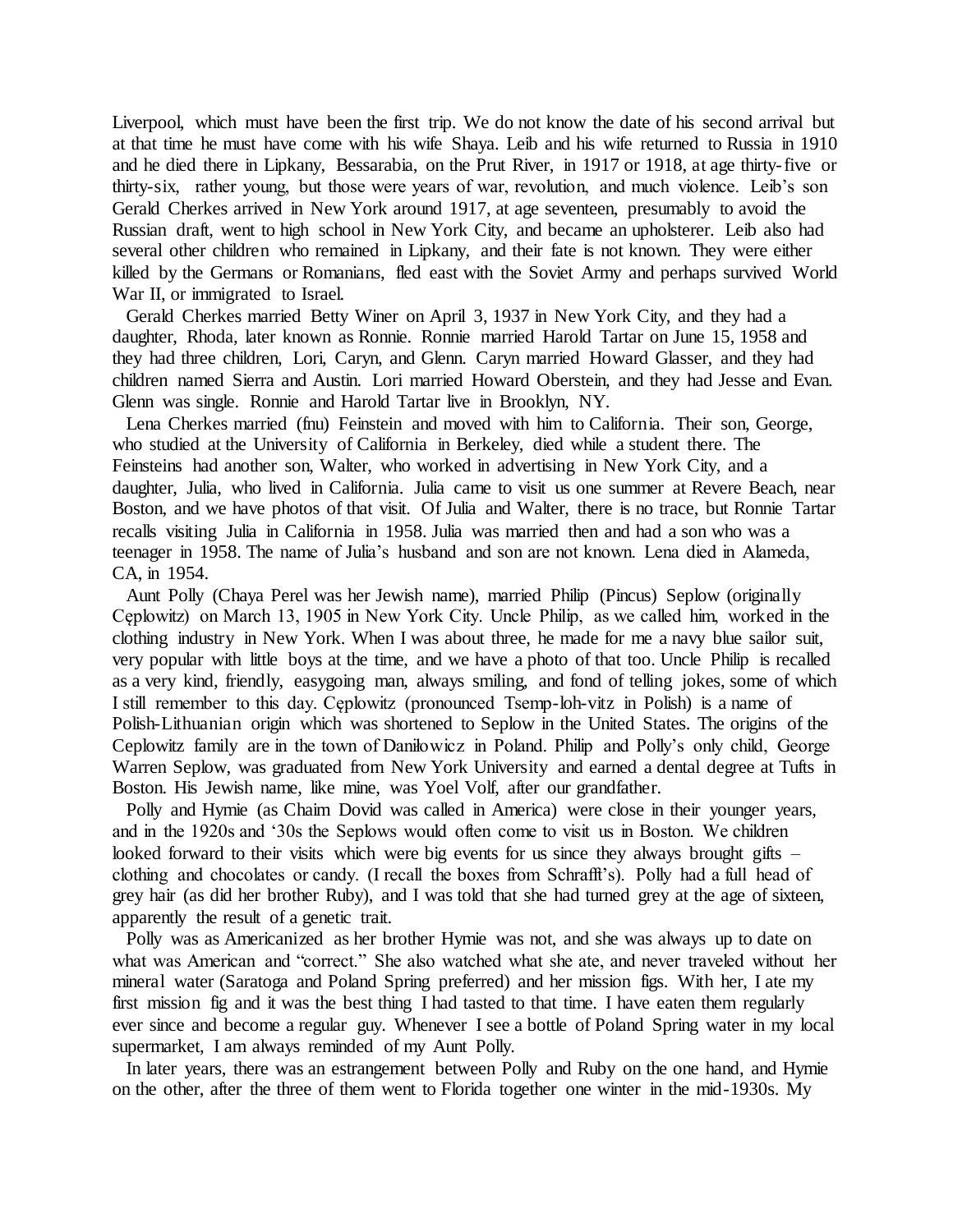Liverpool, which must have been the first trip. We do not know the date of his second arrival but at that time he must have come with his wife Shaya. Leib and his wife returned to Russia in 1910 and he died there in Lipkany, Bessarabia, on the Prut River, in 1917 or 1918, at age thirty-five or thirty-six, rather young, but those were years of war, revolution, and much violence. Leib's son Gerald Cherkes arrived in New York around 1917, at age seventeen, presumably to avoid the Russian draft, went to high school in New York City, and became an upholsterer. Leib also had several other children who remained in Lipkany, and their fate is not known. They were either killed by the Germans or Romanians, fled east with the Soviet Army and perhaps survived World War II, or immigrated to Israel.

 Gerald Cherkes married Betty Winer on April 3, 1937 in New York City, and they had a daughter, Rhoda, later known as Ronnie. Ronnie married Harold Tartar on June 15, 1958 and they had three children, Lori, Caryn, and Glenn. Caryn married Howard Glasser, and they had children named Sierra and Austin. Lori married Howard Oberstein, and they had Jesse and Evan. Glenn was single. Ronnie and Harold Tartar live in Brooklyn, NY.

 Lena Cherkes married (fnu) Feinstein and moved with him to California. Their son, George, who studied at the University of California in Berkeley, died while a student there. The Feinsteins had another son, Walter, who worked in advertising in New York City, and a daughter, Julia, who lived in California. Julia came to visit us one summer at Revere Beach, near Boston, and we have photos of that visit. Of Julia and Walter, there is no trace, but Ronnie Tartar recalls visiting Julia in California in 1958. Julia was married then and had a son who was a teenager in 1958. The name of Julia's husband and son are not known. Lena died in Alameda, CA, in 1954.

 Aunt Polly (Chaya Perel was her Jewish name), married Philip (Pincus) Seplow (originally Cęplowitz) on March 13, 1905 in New York City. Uncle Philip, as we called him, worked in the clothing industry in New York. When I was about three, he made for me a navy blue sailor suit, very popular with little boys at the time, and we have a photo of that too. Uncle Philip is recalled as a very kind, friendly, easygoing man, always smiling, and fond of telling jokes, some of which I still remember to this day. Cęplowitz (pronounced Tsemp-loh-vitz in Polish) is a name of Polish-Lithuanian origin which was shortened to Seplow in the United States. The origins of the Ceplowitz family are in the town of Daniłowicz in Poland. Philip and Polly's only child, George Warren Seplow, was graduated from New York University and earned a dental degree at Tufts in Boston. His Jewish name, like mine, was Yoel Volf, after our grandfather.

 Polly and Hymie (as Chaim Dovid was called in America) were close in their younger years, and in the 1920s and '30s the Seplows would often come to visit us in Boston. We children looked forward to their visits which were big events for us since they always brought gifts – clothing and chocolates or candy. (I recall the boxes from Schrafft's). Polly had a full head of grey hair (as did her brother Ruby), and I was told that she had turned grey at the age of sixteen, apparently the result of a genetic trait.

 Polly was as Americanized as her brother Hymie was not, and she was always up to date on what was American and "correct." She also watched what she ate, and never traveled without her mineral water (Saratoga and Poland Spring preferred) and her mission figs. With her, I ate my first mission fig and it was the best thing I had tasted to that time. I have eaten them regularly ever since and become a regular guy. Whenever I see a bottle of Poland Spring water in my local supermarket, I am always reminded of my Aunt Polly.

 In later years, there was an estrangement between Polly and Ruby on the one hand, and Hymie on the other, after the three of them went to Florida together one winter in the mid-1930s. My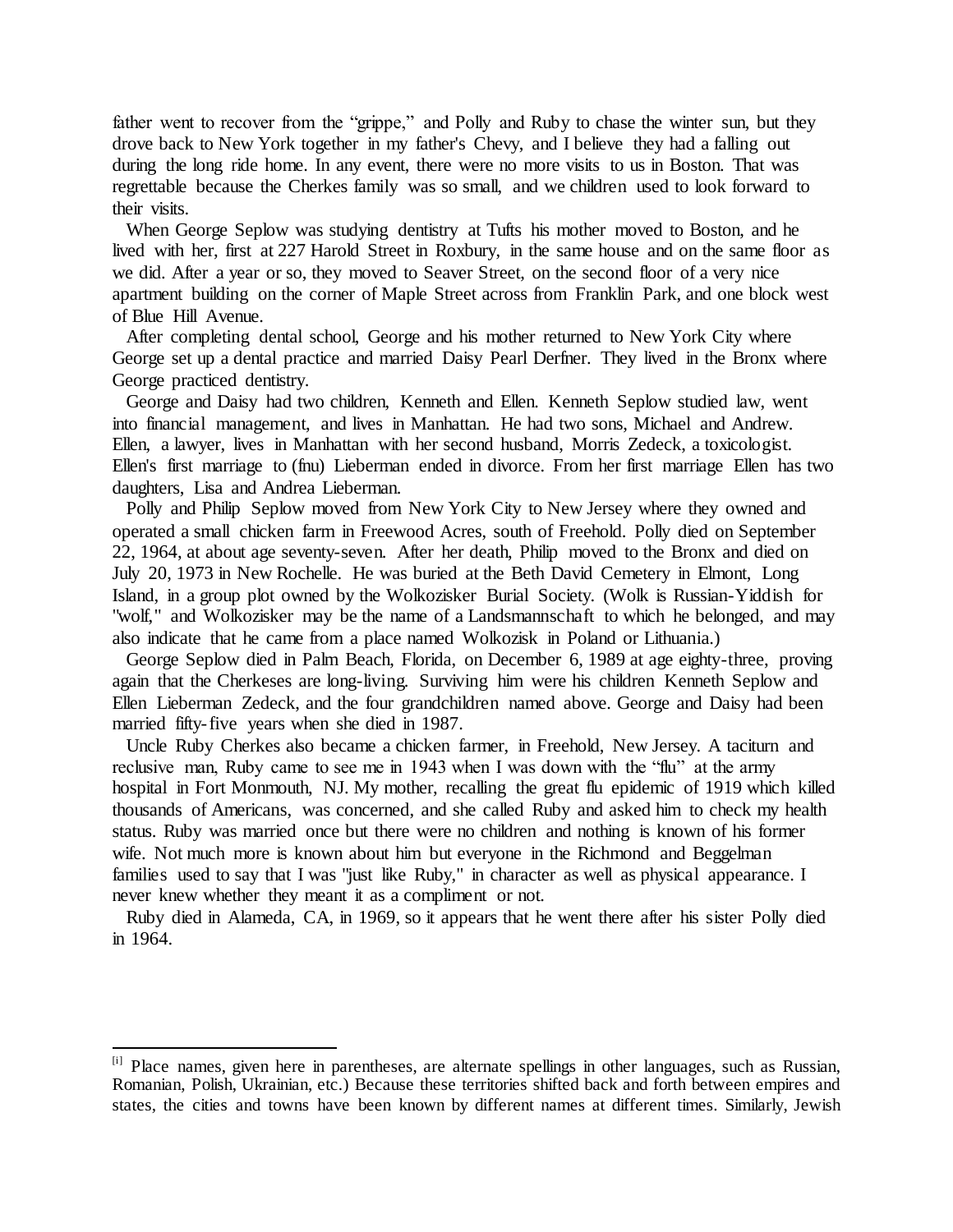father went to recover from the "grippe," and Polly and Ruby to chase the winter sun, but they drove back to New York together in my father's Chevy, and I believe they had a falling out during the long ride home. In any event, there were no more visits to us in Boston. That was regrettable because the Cherkes family was so small, and we children used to look forward to their visits.

 When George Seplow was studying dentistry at Tufts his mother moved to Boston, and he lived with her, first at 227 Harold Street in Roxbury, in the same house and on the same floor as we did. After a year or so, they moved to Seaver Street, on the second floor of a very nice apartment building on the corner of Maple Street across from Franklin Park, and one block west of Blue Hill Avenue.

 After completing dental school, George and his mother returned to New York City where George set up a dental practice and married Daisy Pearl Derfner. They lived in the Bronx where George practiced dentistry.

 George and Daisy had two children, Kenneth and Ellen. Kenneth Seplow studied law, went into financial management, and lives in Manhattan. He had two sons, Michael and Andrew. Ellen, a lawyer, lives in Manhattan with her second husband, Morris Zedeck, a toxicologist. Ellen's first marriage to (fnu) Lieberman ended in divorce. From her first marriage Ellen has two daughters, Lisa and Andrea Lieberman.

 Polly and Philip Seplow moved from New York City to New Jersey where they owned and operated a small chicken farm in Freewood Acres, south of Freehold. Polly died on September 22, 1964, at about age seventy-seven. After her death, Philip moved to the Bronx and died on July 20, 1973 in New Rochelle. He was buried at the Beth David Cemetery in Elmont, Long Island, in a group plot owned by the Wolkozisker Burial Society. (Wolk is Russian-Yiddish for "wolf," and Wolkozisker may be the name of a Landsmannschaft to which he belonged, and may also indicate that he came from a place named Wolkozisk in Poland or Lithuania.)

 George Seplow died in Palm Beach, Florida, on December 6, 1989 at age eighty-three, proving again that the Cherkeses are long-living. Surviving him were his children Kenneth Seplow and Ellen Lieberman Zedeck, and the four grandchildren named above. George and Daisy had been married fifty-five years when she died in 1987.

 Uncle Ruby Cherkes also became a chicken farmer, in Freehold, New Jersey. A taciturn and reclusive man, Ruby came to see me in 1943 when I was down with the "flu" at the army hospital in Fort Monmouth, NJ. My mother, recalling the great flu epidemic of 1919 which killed thousands of Americans, was concerned, and she called Ruby and asked him to check my health status. Ruby was married once but there were no children and nothing is known of his former wife. Not much more is known about him but everyone in the Richmond and Beggelman families used to say that I was "just like Ruby," in character as well as physical appearance. I never knew whether they meant it as a compliment or not.

 Ruby died in Alameda, CA, in 1969, so it appears that he went there after his sister Polly died in 1964.

l

<sup>[</sup>i] Place names, given here in parentheses, are alternate spellings in other languages, such as Russian, Romanian, Polish, Ukrainian, etc.) Because these territories shifted back and forth between empires and states, the cities and towns have been known by different names at different times. Similarly, Jewish